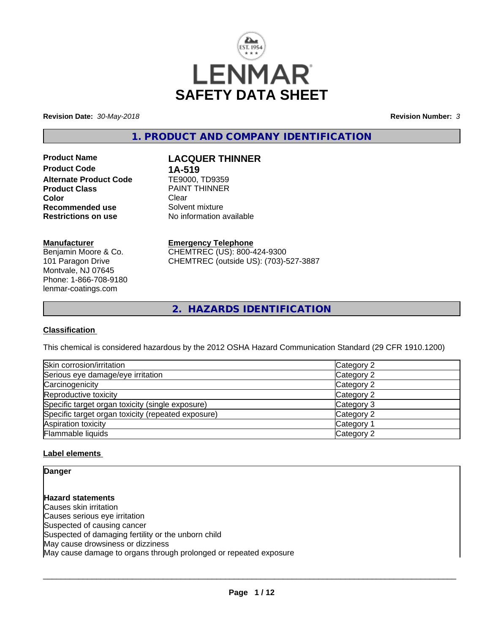

**Revision Date:** *30-May-2018* **Revision Number:** *3*

**1. PRODUCT AND COMPANY IDENTIFICATION**

**Product Name LACQUER THINNER Product Code 1A-519**<br>**Alternate Product Code 1E9000, TD9359 Alternate Product Code Product Class Example 20 PAINT THINNER**<br> **Clear Color** Clear Clear **Recommended use** Solvent mixture<br> **Restrictions on use** No information and No

**No information available** 

#### **Manufacturer**

Benjamin Moore & Co. 101 Paragon Drive Montvale, NJ 07645 Phone: 1-866-708-9180 lenmar-coatings.com

## **Emergency Telephone**

CHEMTREC (US): 800-424-9300 CHEMTREC (outside US): (703)-527-3887

**2. HAZARDS IDENTIFICATION**

#### **Classification**

This chemical is considered hazardous by the 2012 OSHA Hazard Communication Standard (29 CFR 1910.1200)

| Skin corrosion/irritation                          | Category 2            |
|----------------------------------------------------|-----------------------|
| Serious eye damage/eye irritation                  | Category 2            |
| Carcinogenicity                                    | Category 2            |
| Reproductive toxicity                              | Category 2            |
| Specific target organ toxicity (single exposure)   | Category 3            |
| Specific target organ toxicity (repeated exposure) | Category 2            |
| Aspiration toxicity                                | Category <sup>2</sup> |
| Flammable liquids                                  | Category 2            |

#### **Label elements**

**Danger**

**Hazard statements** Causes skin irritation Causes serious eye irritation Suspected of causing cancer Suspected of damaging fertility or the unborn child May cause drowsiness or dizziness May cause damage to organs through prolonged or repeated exposure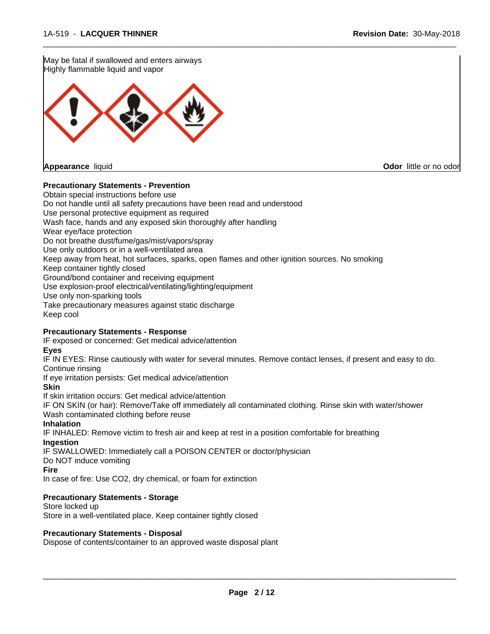May be fatal if swallowed and enters airways Highly flammable liquid and vapor **Appearance** liquid **Odor** little or no odor

#### **Precautionary Statements - Prevention**

Obtain special instructions before use Do not handle until all safety precautions have been read and understood Use personal protective equipment as required Wash face, hands and any exposed skin thoroughly after handling Wear eye/face protection Do not breathe dust/fume/gas/mist/vapors/spray Use only outdoors or in a well-ventilated area Keep away from heat, hot surfaces, sparks, open flames and other ignition sources. No smoking Keep container tightly closed Ground/bond container and receiving equipment Use explosion-proof electrical/ventilating/lighting/equipment Use only non-sparking tools Take precautionary measures against static discharge Keep cool

 $\overline{\phantom{a}}$  ,  $\overline{\phantom{a}}$  ,  $\overline{\phantom{a}}$  ,  $\overline{\phantom{a}}$  ,  $\overline{\phantom{a}}$  ,  $\overline{\phantom{a}}$  ,  $\overline{\phantom{a}}$  ,  $\overline{\phantom{a}}$  ,  $\overline{\phantom{a}}$  ,  $\overline{\phantom{a}}$  ,  $\overline{\phantom{a}}$  ,  $\overline{\phantom{a}}$  ,  $\overline{\phantom{a}}$  ,  $\overline{\phantom{a}}$  ,  $\overline{\phantom{a}}$  ,  $\overline{\phantom{a}}$ 

#### **Precautionary Statements - Response**

IF exposed or concerned: Get medical advice/attention

**Eyes**

IF IN EYES: Rinse cautiously with water for several minutes. Remove contact lenses, if present and easy to do. Continue rinsing

If eye irritation persists: Get medical advice/attention

**Skin**

If skin irritation occurs: Get medical advice/attention

IF ON SKIN (or hair): Remove/Take off immediately all contaminated clothing. Rinse skin with water/shower Wash contaminated clothing before reuse

#### **Inhalation**

IF INHALED: Remove victim to fresh air and keep atrest in a position comfortable for breathing **Ingestion**

IF SWALLOWED: Immediately call a POISON CENTER or doctor/physician

Do NOT induce vomiting

**Fire**

In case of fire: Use CO2, dry chemical, or foam for extinction

#### **Precautionary Statements - Storage**

Store locked up Store in a well-ventilated place. Keep container tightly closed

#### **Precautionary Statements - Disposal**

Dispose of contents/container to an approved waste disposal plant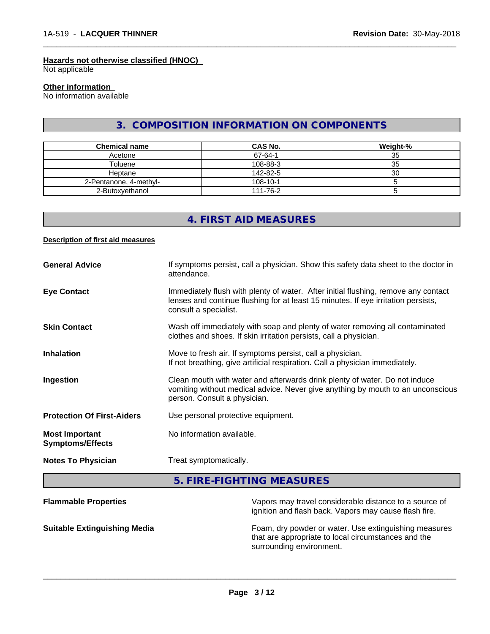#### **Hazards not otherwise classified (HNOC)**

Not applicable

## **Other information**

No information available

## **3. COMPOSITION INFORMATION ON COMPONENTS**

 $\overline{\phantom{a}}$  ,  $\overline{\phantom{a}}$  ,  $\overline{\phantom{a}}$  ,  $\overline{\phantom{a}}$  ,  $\overline{\phantom{a}}$  ,  $\overline{\phantom{a}}$  ,  $\overline{\phantom{a}}$  ,  $\overline{\phantom{a}}$  ,  $\overline{\phantom{a}}$  ,  $\overline{\phantom{a}}$  ,  $\overline{\phantom{a}}$  ,  $\overline{\phantom{a}}$  ,  $\overline{\phantom{a}}$  ,  $\overline{\phantom{a}}$  ,  $\overline{\phantom{a}}$  ,  $\overline{\phantom{a}}$ 

| <b>Chemical name</b>   | CAS No.  | Weight-% |
|------------------------|----------|----------|
| Acetone                | 67-64-1  | 35       |
| Toluene                | 108-88-3 | 35       |
| Heptane                | 142-82-5 | 30       |
| 2-Pentanone, 4-methyl- | 108-10-1 |          |
| 2-Butoxvethanol        | 111-76-2 |          |

## **4. FIRST AID MEASURES**

#### **Description of first aid measures**

| <b>General Advice</b>                            | If symptoms persist, call a physician. Show this safety data sheet to the doctor in<br>attendance.                                                                                               |
|--------------------------------------------------|--------------------------------------------------------------------------------------------------------------------------------------------------------------------------------------------------|
| <b>Eye Contact</b>                               | Immediately flush with plenty of water. After initial flushing, remove any contact<br>lenses and continue flushing for at least 15 minutes. If eye irritation persists,<br>consult a specialist. |
| <b>Skin Contact</b>                              | Wash off immediately with soap and plenty of water removing all contaminated<br>clothes and shoes. If skin irritation persists, call a physician.                                                |
| <b>Inhalation</b>                                | Move to fresh air. If symptoms persist, call a physician.<br>If not breathing, give artificial respiration. Call a physician immediately.                                                        |
| Ingestion                                        | Clean mouth with water and afterwards drink plenty of water. Do not induce<br>vomiting without medical advice. Never give anything by mouth to an unconscious<br>person. Consult a physician.    |
| <b>Protection Of First-Aiders</b>                | Use personal protective equipment.                                                                                                                                                               |
| <b>Most Important</b><br><b>Symptoms/Effects</b> | No information available.                                                                                                                                                                        |
| <b>Notes To Physician</b>                        | Treat symptomatically.                                                                                                                                                                           |

**5. FIRE-FIGHTING MEASURES**

| <b>Flammable Properties</b>         | Vapors may travel considerable distance to a source of<br>ignition and flash back. Vapors may cause flash fire.                          |
|-------------------------------------|------------------------------------------------------------------------------------------------------------------------------------------|
| <b>Suitable Extinguishing Media</b> | Foam, dry powder or water. Use extinguishing measures<br>that are appropriate to local circumstances and the<br>surrounding environment. |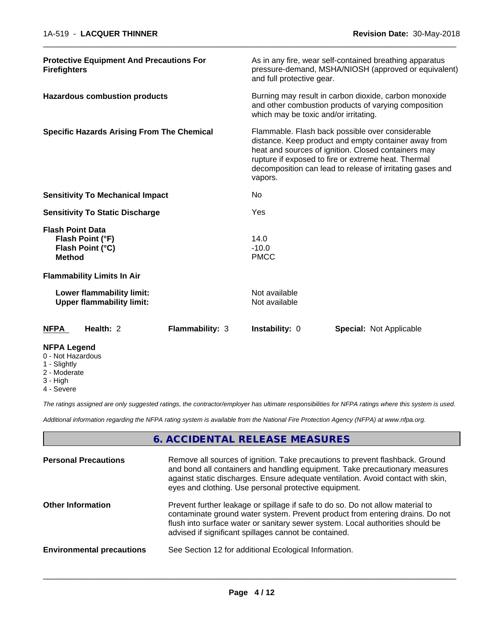| <b>NFPA Legend</b>                     |                                                               |                        |                                                                                                                                                        |                                                                                                                                                                         |  |
|----------------------------------------|---------------------------------------------------------------|------------------------|--------------------------------------------------------------------------------------------------------------------------------------------------------|-------------------------------------------------------------------------------------------------------------------------------------------------------------------------|--|
| <b>NFPA</b>                            | Health: 2                                                     | <b>Flammability: 3</b> | Instability: 0                                                                                                                                         | Special: Not Applicable                                                                                                                                                 |  |
|                                        | Lower flammability limit:<br><b>Upper flammability limit:</b> |                        | Not available<br>Not available                                                                                                                         |                                                                                                                                                                         |  |
|                                        | <b>Flammability Limits In Air</b>                             |                        |                                                                                                                                                        |                                                                                                                                                                         |  |
| <b>Method</b>                          |                                                               |                        | <b>PMCC</b>                                                                                                                                            |                                                                                                                                                                         |  |
|                                        | Flash Point (°C)                                              |                        | $-10.0$                                                                                                                                                |                                                                                                                                                                         |  |
| <b>Flash Point Data</b>                | Flash Point (°F)                                              |                        | 14.0                                                                                                                                                   |                                                                                                                                                                         |  |
| <b>Sensitivity To Static Discharge</b> |                                                               | Yes                    |                                                                                                                                                        |                                                                                                                                                                         |  |
|                                        | <b>Sensitivity To Mechanical Impact</b>                       |                        | No                                                                                                                                                     |                                                                                                                                                                         |  |
|                                        |                                                               |                        | vapors.                                                                                                                                                | heat and sources of ignition. Closed containers may<br>rupture if exposed to fire or extreme heat. Thermal<br>decomposition can lead to release of irritating gases and |  |
|                                        | <b>Specific Hazards Arising From The Chemical</b>             |                        |                                                                                                                                                        | Flammable. Flash back possible over considerable<br>distance. Keep product and empty container away from                                                                |  |
| <b>Hazardous combustion products</b>   |                                                               |                        | Burning may result in carbon dioxide, carbon monoxide<br>and other combustion products of varying composition<br>which may be toxic and/or irritating. |                                                                                                                                                                         |  |
| <b>Firefighters</b>                    | <b>Protective Equipment And Precautions For</b>               |                        | and full protective gear.                                                                                                                              | As in any fire, wear self-contained breathing apparatus<br>pressure-demand, MSHA/NIOSH (approved or equivalent)                                                         |  |
|                                        |                                                               |                        |                                                                                                                                                        |                                                                                                                                                                         |  |

- 0 Not Hazardous
- 1 Slightly
- 2 Moderate
- 3 High
- 4 Severe

*The ratings assigned are only suggested ratings, the contractor/employer has ultimate responsibilities for NFPA ratings where this system is used.*

*Additional information regarding the NFPA rating system is available from the National Fire Protection Agency (NFPA) at www.nfpa.org.*

## **6. ACCIDENTAL RELEASE MEASURES**

| <b>Personal Precautions</b>      | Remove all sources of ignition. Take precautions to prevent flashback. Ground<br>and bond all containers and handling equipment. Take precautionary measures<br>against static discharges. Ensure adequate ventilation. Avoid contact with skin,<br>eyes and clothing. Use personal protective equipment.  |
|----------------------------------|------------------------------------------------------------------------------------------------------------------------------------------------------------------------------------------------------------------------------------------------------------------------------------------------------------|
| <b>Other Information</b>         | Prevent further leakage or spillage if safe to do so. Do not allow material to<br>contaminate ground water system. Prevent product from entering drains. Do not<br>flush into surface water or sanitary sewer system. Local authorities should be<br>advised if significant spillages cannot be contained. |
| <b>Environmental precautions</b> | See Section 12 for additional Ecological Information.                                                                                                                                                                                                                                                      |
|                                  |                                                                                                                                                                                                                                                                                                            |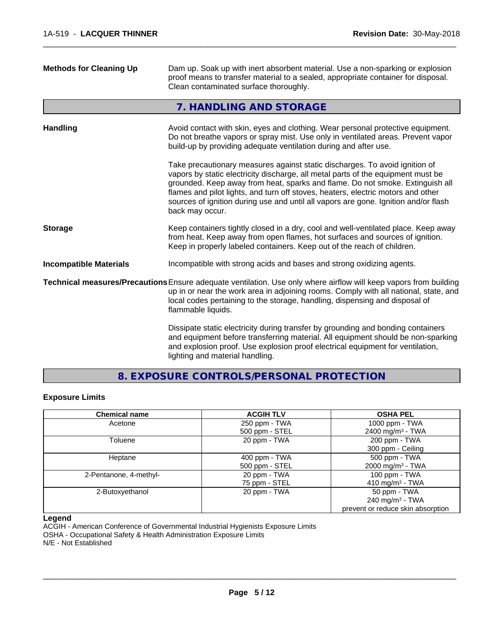| <b>Methods for Cleaning Up</b> | Dam up. Soak up with inert absorbent material. Use a non-sparking or explosion<br>proof means to transfer material to a sealed, appropriate container for disposal.<br>Clean contaminated surface thoroughly.                                                                                                                                                                                                                                  |
|--------------------------------|------------------------------------------------------------------------------------------------------------------------------------------------------------------------------------------------------------------------------------------------------------------------------------------------------------------------------------------------------------------------------------------------------------------------------------------------|
|                                | 7. HANDLING AND STORAGE                                                                                                                                                                                                                                                                                                                                                                                                                        |
| <b>Handling</b>                | Avoid contact with skin, eyes and clothing. Wear personal protective equipment.<br>Do not breathe vapors or spray mist. Use only in ventilated areas. Prevent vapor<br>build-up by providing adequate ventilation during and after use.                                                                                                                                                                                                        |
|                                | Take precautionary measures against static discharges. To avoid ignition of<br>vapors by static electricity discharge, all metal parts of the equipment must be<br>grounded. Keep away from heat, sparks and flame. Do not smoke. Extinguish all<br>flames and pilot lights, and turn off stoves, heaters, electric motors and other<br>sources of ignition during use and until all vapors are gone. Ignition and/or flash<br>back may occur. |
| <b>Storage</b>                 | Keep containers tightly closed in a dry, cool and well-ventilated place. Keep away<br>from heat. Keep away from open flames, hot surfaces and sources of ignition.<br>Keep in properly labeled containers. Keep out of the reach of children.                                                                                                                                                                                                  |
| <b>Incompatible Materials</b>  | Incompatible with strong acids and bases and strong oxidizing agents.                                                                                                                                                                                                                                                                                                                                                                          |
|                                | Technical measures/Precautions Ensure adequate ventilation. Use only where airflow will keep vapors from building<br>up in or near the work area in adjoining rooms. Comply with all national, state, and<br>local codes pertaining to the storage, handling, dispensing and disposal of<br>flammable liquids.                                                                                                                                 |
|                                | Dissipate static electricity during transfer by grounding and bonding containers<br>and equipment before transferring material. All equipment should be non-sparking<br>and explosion proof. Use explosion proof electrical equipment for ventilation,<br>lighting and material handling.                                                                                                                                                      |

**8. EXPOSURE CONTROLS/PERSONAL PROTECTION**

### **Exposure Limits**

| <b>Chemical name</b>   | <b>ACGIH TLV</b> | <b>OSHA PEL</b>                   |
|------------------------|------------------|-----------------------------------|
| Acetone                | 250 ppm - TWA    | 1000 ppm - TWA                    |
|                        | 500 ppm - STEL   | 2400 mg/m <sup>3</sup> - TWA      |
| Toluene                | 20 ppm - TWA     | 200 ppm - TWA                     |
|                        |                  | 300 ppm - Ceiling                 |
| Heptane                | 400 ppm - TWA    | 500 ppm - TWA                     |
|                        | 500 ppm - STEL   | 2000 mg/m <sup>3</sup> - TWA      |
| 2-Pentanone, 4-methyl- | 20 ppm - TWA     | 100 ppm - TWA                     |
|                        | 75 ppm - STEL    | 410 mg/m <sup>3</sup> - TWA       |
| 2-Butoxyethanol        | 20 ppm - TWA     | 50 ppm - TWA                      |
|                        |                  | 240 mg/m $3$ - TWA                |
|                        |                  | prevent or reduce skin absorption |

#### **Legend**

ACGIH - American Conference of Governmental Industrial Hygienists Exposure Limits OSHA - Occupational Safety & Health Administration Exposure Limits

N/E - Not Established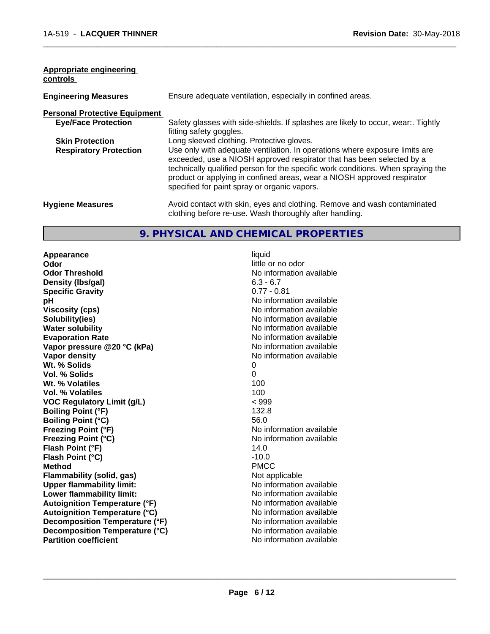| Appropriate engineering<br>controls  |                                                                                                                                                                                                                                                                                                                                                                     |
|--------------------------------------|---------------------------------------------------------------------------------------------------------------------------------------------------------------------------------------------------------------------------------------------------------------------------------------------------------------------------------------------------------------------|
| <b>Engineering Measures</b>          | Ensure adequate ventilation, especially in confined areas.                                                                                                                                                                                                                                                                                                          |
| <b>Personal Protective Equipment</b> |                                                                                                                                                                                                                                                                                                                                                                     |
| <b>Eye/Face Protection</b>           | Safety glasses with side-shields. If splashes are likely to occur, wear:. Tightly<br>fitting safety goggles.                                                                                                                                                                                                                                                        |
| <b>Skin Protection</b>               | Long sleeved clothing. Protective gloves.                                                                                                                                                                                                                                                                                                                           |
| <b>Respiratory Protection</b>        | Use only with adequate ventilation. In operations where exposure limits are<br>exceeded, use a NIOSH approved respirator that has been selected by a<br>technically qualified person for the specific work conditions. When spraying the<br>product or applying in confined areas, wear a NIOSH approved respirator<br>specified for paint spray or organic vapors. |
| <b>Hygiene Measures</b>              | Avoid contact with skin, eyes and clothing. Remove and wash contaminated<br>clothing before re-use. Wash thoroughly after handling.                                                                                                                                                                                                                                 |

#### **9. PHYSICAL AND CHEMICAL PROPERTIES**

**Appearance** liquid **and a limitation of the contract of the contract of the contract of the contract of the contract of the contract of the contract of the contract of the contract of the contract of the contract of the c Odor Threshold No information available No information available Density (lbs/gal)** 6.3 - 6.7<br> **Specific Gravity** 6.3 - 6.7 **Specific Gravity pH** No information available **Viscosity (cps)** No information available Notice 1, 1999 **Solubility(ies)** No information available in the solution of the solution of the solution available in the solution of the solution of the solution of the solution of the solution of the solution of the solution of the so **Water solubility Water solubility Water solubility Water solubility Water solubility Water solution Evaporation Rate No information available No information available Vapor pressure @20 °C (kPa)** No information available **Vapor density Vapor density No information available Wt. % Solids** 0 **Vol. % Solids** 0 **Wt. % Volatiles Vol. % Volatiles** 100 **VOC Regulatory Limit (g/L)** < 999 **Boiling Point (°F)** 132.8 **Boiling Point (°C)** 56.0 **Freezing Point (°F)** No information available **Freezing Point (°C)** No information available **Flash Point (°F)** 14.0 **Flash Point (°C)** -10.0 **Method** PMCC **Flammability (solid, gas)**<br> **Commability limit:**<br>
Upper flammability limit:<br>
Upper flammability limit: **Upper flammability limit:**<br> **Lower flammability limit:** No information available<br>
No information available **Lower flammability limit: Autoignition Temperature (°F)**<br> **Autoignition Temperature (°C)** No information available **Autoignition Temperature (°C) Decomposition Temperature (°F)** No information available **Decomposition Temperature (°C)** No information available<br> **Partition coefficient Partition available** 

little or no odor **No information available**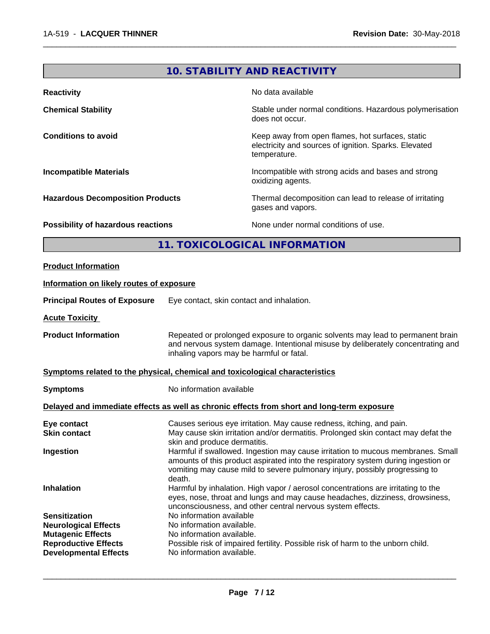## **10. STABILITY AND REACTIVITY**

 $\overline{\phantom{a}}$  ,  $\overline{\phantom{a}}$  ,  $\overline{\phantom{a}}$  ,  $\overline{\phantom{a}}$  ,  $\overline{\phantom{a}}$  ,  $\overline{\phantom{a}}$  ,  $\overline{\phantom{a}}$  ,  $\overline{\phantom{a}}$  ,  $\overline{\phantom{a}}$  ,  $\overline{\phantom{a}}$  ,  $\overline{\phantom{a}}$  ,  $\overline{\phantom{a}}$  ,  $\overline{\phantom{a}}$  ,  $\overline{\phantom{a}}$  ,  $\overline{\phantom{a}}$  ,  $\overline{\phantom{a}}$ 

| <b>Reactivity</b>                         | No data available                                                                                                         |
|-------------------------------------------|---------------------------------------------------------------------------------------------------------------------------|
| <b>Chemical Stability</b>                 | Stable under normal conditions. Hazardous polymerisation<br>does not occur.                                               |
| <b>Conditions to avoid</b>                | Keep away from open flames, hot surfaces, static<br>electricity and sources of ignition. Sparks. Elevated<br>temperature. |
| <b>Incompatible Materials</b>             | Incompatible with strong acids and bases and strong<br>oxidizing agents.                                                  |
| <b>Hazardous Decomposition Products</b>   | Thermal decomposition can lead to release of irritating<br>gases and vapors.                                              |
| <b>Possibility of hazardous reactions</b> | None under normal conditions of use.                                                                                      |

## **11. TOXICOLOGICAL INFORMATION**

| <b>Product Information</b>                                                                                                                     |                                                                                                                                                                                                                                                               |
|------------------------------------------------------------------------------------------------------------------------------------------------|---------------------------------------------------------------------------------------------------------------------------------------------------------------------------------------------------------------------------------------------------------------|
| Information on likely routes of exposure                                                                                                       |                                                                                                                                                                                                                                                               |
| <b>Principal Routes of Exposure</b>                                                                                                            | Eye contact, skin contact and inhalation.                                                                                                                                                                                                                     |
| <b>Acute Toxicity</b>                                                                                                                          |                                                                                                                                                                                                                                                               |
| <b>Product Information</b>                                                                                                                     | Repeated or prolonged exposure to organic solvents may lead to permanent brain<br>and nervous system damage. Intentional misuse by deliberately concentrating and<br>inhaling vapors may be harmful or fatal.                                                 |
|                                                                                                                                                | Symptoms related to the physical, chemical and toxicological characteristics                                                                                                                                                                                  |
| <b>Symptoms</b>                                                                                                                                | No information available                                                                                                                                                                                                                                      |
|                                                                                                                                                | Delayed and immediate effects as well as chronic effects from short and long-term exposure                                                                                                                                                                    |
| Eye contact<br><b>Skin contact</b>                                                                                                             | Causes serious eye irritation. May cause redness, itching, and pain.<br>May cause skin irritation and/or dermatitis. Prolonged skin contact may defat the<br>skin and produce dermatitis.                                                                     |
| Ingestion                                                                                                                                      | Harmful if swallowed. Ingestion may cause irritation to mucous membranes. Small<br>amounts of this product aspirated into the respiratory system during ingestion or<br>vomiting may cause mild to severe pulmonary injury, possibly progressing to<br>death. |
| <b>Inhalation</b>                                                                                                                              | Harmful by inhalation. High vapor / aerosol concentrations are irritating to the<br>eyes, nose, throat and lungs and may cause headaches, dizziness, drowsiness,<br>unconsciousness, and other central nervous system effects.                                |
| <b>Sensitization</b><br><b>Neurological Effects</b><br><b>Mutagenic Effects</b><br><b>Reproductive Effects</b><br><b>Developmental Effects</b> | No information available<br>No information available.<br>No information available.<br>Possible risk of impaired fertility. Possible risk of harm to the unborn child.<br>No information available.                                                            |
|                                                                                                                                                |                                                                                                                                                                                                                                                               |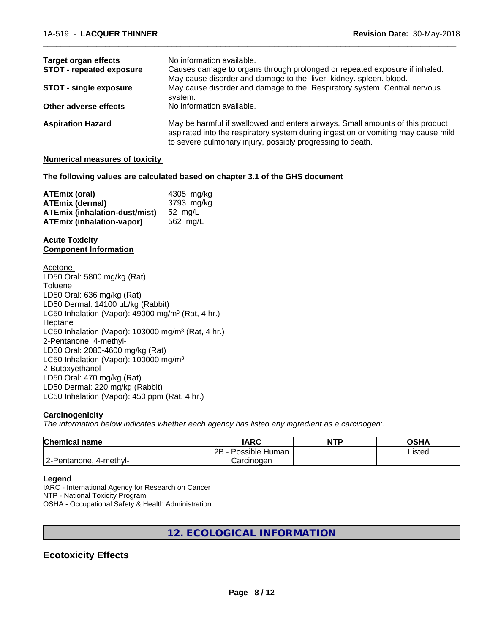| <b>Target organ effects</b>     | No information available.                                                                                                                                                                                                        |
|---------------------------------|----------------------------------------------------------------------------------------------------------------------------------------------------------------------------------------------------------------------------------|
| <b>STOT - repeated exposure</b> | Causes damage to organs through prolonged or repeated exposure if inhaled.                                                                                                                                                       |
|                                 | May cause disorder and damage to the. liver. kidney. spleen. blood.                                                                                                                                                              |
| <b>STOT - single exposure</b>   | May cause disorder and damage to the. Respiratory system. Central nervous<br>system.                                                                                                                                             |
| Other adverse effects           | No information available.                                                                                                                                                                                                        |
| <b>Aspiration Hazard</b>        | May be harmful if swallowed and enters airways. Small amounts of this product<br>aspirated into the respiratory system during ingestion or vomiting may cause mild<br>to severe pulmonary injury, possibly progressing to death. |

#### **Numerical measures of toxicity**

**The following values are calculated based on chapter 3.1 of the GHS document**

| ATEmix (oral)                        | 4305 mg/ka |
|--------------------------------------|------------|
| <b>ATEmix (dermal)</b>               | 3793 mg/kg |
| <b>ATEmix (inhalation-dust/mist)</b> | 52 ma/L    |
| ATEmix (inhalation-vapor)            | 562 ma/L   |

#### **Acute Toxicity Component Information**

Acetone LD50 Oral: 5800 mg/kg (Rat) **Toluene** LD50 Oral: 636 mg/kg (Rat) LD50 Dermal: 14100 µL/kg (Rabbit) LC50 Inhalation (Vapor): 49000 mg/m<sup>3</sup> (Rat, 4 hr.) Heptane LC50 Inhalation (Vapor): 103000 mg/m<sup>3</sup> (Rat, 4 hr.) 2-Pentanone, 4-methyl-LD50 Oral: 2080-4600 mg/kg (Rat) LC50 Inhalation (Vapor): 100000 mg/m<sup>3</sup> 2-Butoxyethanol LD50 Oral: 470 mg/kg (Rat) LD50 Dermal: 220 mg/kg (Rabbit) LC50 Inhalation (Vapor): 450 ppm (Rat, 4 hr.)

#### **Carcinogenicity**

*The information below indicateswhether each agency has listed any ingredient as a carcinogen:.*

| <b>Chemical name</b>      | <b>IARC</b>          | <b>NTP</b> | <b>OSHA</b> |
|---------------------------|----------------------|------------|-------------|
|                           | 2B<br>Possible Human |            | Listed      |
| 2-Pentanone,<br>4-methyl- | Carcinogen           |            |             |

#### **Legend**

IARC - International Agency for Research on Cancer NTP - National Toxicity Program OSHA - Occupational Safety & Health Administration

## **12. ECOLOGICAL INFORMATION**

## **Ecotoxicity Effects**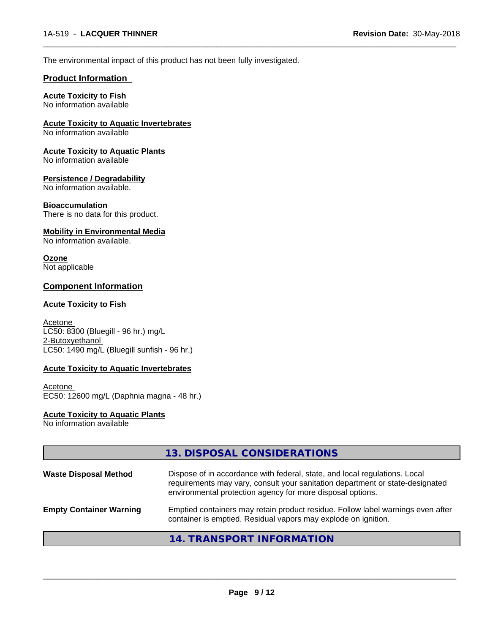The environmental impact of this product has not been fully investigated.

#### **Product Information**

#### **Acute Toxicity to Fish**

No information available

**Acute Toxicity to Aquatic Invertebrates**

No information available

**Acute Toxicity to Aquatic Plants**

No information available

#### **Persistence / Degradability**

No information available.

#### **Bioaccumulation**

There is no data for this product.

#### **Mobility in Environmental Media**

No information available.

## **Ozone**

Not applicable

### **Component Information**

#### **Acute Toxicity to Fish**

Acetone LC50: 8300 (Bluegill - 96 hr.) mg/L 2-Butoxyethanol  $LC50: 1490$  mg/L (Bluegill sunfish - 96 hr.)

#### **Acute Toxicity to Aquatic Invertebrates**

Acetone EC50: 12600 mg/L (Daphnia magna - 48 hr.)

## **Acute Toxicity to Aquatic Plants**

No information available

|                                | 13. DISPOSAL CONSIDERATIONS                                                                                                                                                                                               |
|--------------------------------|---------------------------------------------------------------------------------------------------------------------------------------------------------------------------------------------------------------------------|
| <b>Waste Disposal Method</b>   | Dispose of in accordance with federal, state, and local regulations. Local<br>requirements may vary, consult your sanitation department or state-designated<br>environmental protection agency for more disposal options. |
| <b>Empty Container Warning</b> | Emptied containers may retain product residue. Follow label warnings even after<br>container is emptied. Residual vapors may explode on ignition.                                                                         |
|                                | 14. TRANSPORT INFORMATION                                                                                                                                                                                                 |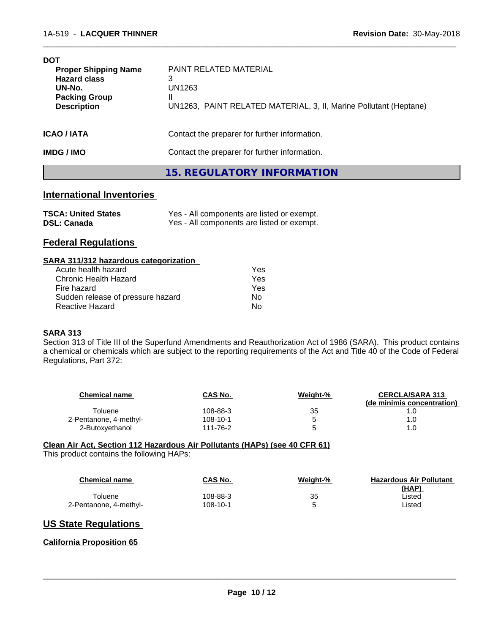| <b>DOT</b><br><b>Proper Shipping Name</b><br><b>Hazard class</b><br>UN-No.<br><b>Packing Group</b><br><b>Description</b> | PAINT RELATED MATERIAL<br>3<br>UN1263<br>UN1263, PAINT RELATED MATERIAL, 3, II, Marine Pollutant (Heptane) |
|--------------------------------------------------------------------------------------------------------------------------|------------------------------------------------------------------------------------------------------------|
| <b>ICAO/IATA</b>                                                                                                         | Contact the preparer for further information.                                                              |
| <b>IMDG/IMO</b>                                                                                                          | Contact the preparer for further information.                                                              |

#### **15. REGULATORY INFORMATION**

 $\overline{\phantom{a}}$  ,  $\overline{\phantom{a}}$  ,  $\overline{\phantom{a}}$  ,  $\overline{\phantom{a}}$  ,  $\overline{\phantom{a}}$  ,  $\overline{\phantom{a}}$  ,  $\overline{\phantom{a}}$  ,  $\overline{\phantom{a}}$  ,  $\overline{\phantom{a}}$  ,  $\overline{\phantom{a}}$  ,  $\overline{\phantom{a}}$  ,  $\overline{\phantom{a}}$  ,  $\overline{\phantom{a}}$  ,  $\overline{\phantom{a}}$  ,  $\overline{\phantom{a}}$  ,  $\overline{\phantom{a}}$ 

## **International Inventories**

| <b>TSCA: United States</b> | Yes - All components are listed or exempt. |
|----------------------------|--------------------------------------------|
| <b>DSL: Canada</b>         | Yes - All components are listed or exempt. |

### **Federal Regulations**

#### **SARA 311/312 hazardous categorization**

| Acute health hazard               | Yes |
|-----------------------------------|-----|
| Chronic Health Hazard             | Yes |
| Fire hazard                       | Yes |
| Sudden release of pressure hazard | N٥  |
| Reactive Hazard                   | N٥  |

#### **SARA 313**

Section 313 of Title III of the Superfund Amendments and Reauthorization Act of 1986 (SARA). This product contains a chemical or chemicals which are subject to the reporting requirements of the Act and Title 40 of the Code of Federal Regulations, Part 372:

| <b>Chemical name</b>   | <b>CAS No.</b> | Weight-% | <b>CERCLA/SARA 313</b><br>(de minimis concentration) |
|------------------------|----------------|----------|------------------------------------------------------|
| Toluene                | 108-88-3       | 35       |                                                      |
| 2-Pentanone, 4-methyl- | 108-10-1       |          | 0. ا                                                 |
| 2-Butoxyethanol        | 111-76-2       |          | 0. ا                                                 |

#### **Clean Air Act,Section 112 Hazardous Air Pollutants (HAPs) (see 40 CFR 61)**

This product contains the following HAPs:

| <b>Chemical name</b>   | CAS No.  | <b>Weight-%</b> | <b>Hazardous Air Pollutant</b><br>(HAP) |
|------------------------|----------|-----------------|-----------------------------------------|
| Toluene                | 108-88-3 | 35              | _isted                                  |
| 2-Pentanone, 4-methyl- | 108-10-1 |                 | ∟isted                                  |

## **US State Regulations**

#### **California Proposition 65**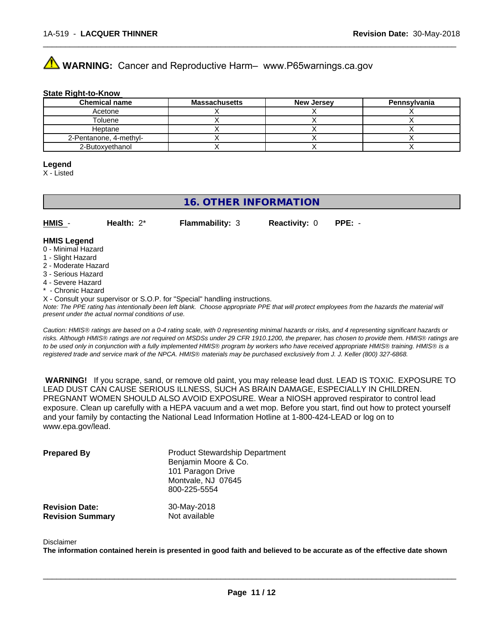# **AVIMARNING:** Cancer and Reproductive Harm– www.P65warnings.ca.gov

#### **State Right-to-Know**

| <b>Chemical name</b>   | <b>Massachusetts</b> | <b>New Jersey</b> | Pennsylvania |
|------------------------|----------------------|-------------------|--------------|
| Acetone                |                      |                   |              |
| Toluene                |                      |                   |              |
| Heptane                |                      |                   |              |
| 2-Pentanone, 4-methyl- |                      |                   |              |
| 2-Butoxvethanol        |                      |                   |              |

 $\overline{\phantom{a}}$  ,  $\overline{\phantom{a}}$  ,  $\overline{\phantom{a}}$  ,  $\overline{\phantom{a}}$  ,  $\overline{\phantom{a}}$  ,  $\overline{\phantom{a}}$  ,  $\overline{\phantom{a}}$  ,  $\overline{\phantom{a}}$  ,  $\overline{\phantom{a}}$  ,  $\overline{\phantom{a}}$  ,  $\overline{\phantom{a}}$  ,  $\overline{\phantom{a}}$  ,  $\overline{\phantom{a}}$  ,  $\overline{\phantom{a}}$  ,  $\overline{\phantom{a}}$  ,  $\overline{\phantom{a}}$ 

#### **Legend**

X - Listed

## **16. OTHER INFORMATION**

**HMIS** - **Health:** 2\* **Flammability:** 3 **Reactivity:** 0 **PPE:** -

#### **HMIS Legend**

- 0 Minimal Hazard
- 1 Slight Hazard
- 2 Moderate Hazard
- 3 Serious Hazard
- 4 Severe Hazard
- \* Chronic Hazard
- X Consult your supervisor or S.O.P. for "Special" handling instructions.

*Note: The PPE rating has intentionally been left blank. Choose appropriate PPE that will protect employees from the hazards the material will present under the actual normal conditions of use.*

*Caution: HMISÒ ratings are based on a 0-4 rating scale, with 0 representing minimal hazards or risks, and 4 representing significant hazards or risks. Although HMISÒ ratings are not required on MSDSs under 29 CFR 1910.1200, the preparer, has chosen to provide them. HMISÒ ratings are to be used only in conjunction with a fully implemented HMISÒ program by workers who have received appropriate HMISÒ training. HMISÒ is a registered trade and service mark of the NPCA. HMISÒ materials may be purchased exclusively from J. J. Keller (800) 327-6868.*

 **WARNING!** If you scrape, sand, or remove old paint, you may release lead dust. LEAD IS TOXIC. EXPOSURE TO LEAD DUST CAN CAUSE SERIOUS ILLNESS, SUCH AS BRAIN DAMAGE, ESPECIALLY IN CHILDREN. PREGNANT WOMEN SHOULD ALSO AVOID EXPOSURE.Wear a NIOSH approved respirator to control lead exposure. Clean up carefully with a HEPA vacuum and a wet mop. Before you start, find out how to protect yourself and your family by contacting the National Lead Information Hotline at 1-800-424-LEAD or log on to www.epa.gov/lead.

| <b>Prepared By</b>                               | <b>Product Stewardship Department</b><br>Benjamin Moore & Co.<br>101 Paragon Drive<br>Montvale, NJ 07645<br>800-225-5554 |  |
|--------------------------------------------------|--------------------------------------------------------------------------------------------------------------------------|--|
| <b>Revision Date:</b><br><b>Revision Summary</b> | 30-May-2018<br>Not available                                                                                             |  |

#### Disclaimer

The information contained herein is presented in good faith and believed to be accurate as of the effective date shown